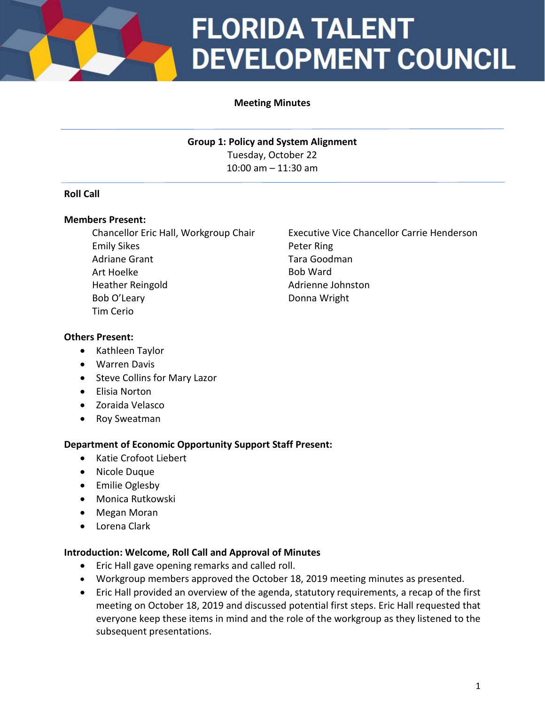

# **FLORIDA TALENT DEVELOPMENT COUNCIL**

## **Meeting Minutes**

**Group 1: Policy and System Alignment** Tuesday, October 22 10:00 am – 11:30 am

### **Roll Call**

#### **Members Present:**

Chancellor Eric Hall, Workgroup Chair Emily Sikes Adriane Grant Art Hoelke Heather Reingold Bob O'Leary Tim Cerio

Executive Vice Chancellor Carrie Henderson Peter Ring Tara Goodman Bob Ward Adrienne Johnston Donna Wright

#### **Others Present:**

- Kathleen Taylor
- Warren Davis
- Steve Collins for Mary Lazor
- Elisia Norton
- Zoraida Velasco
- Roy Sweatman

### **Department of Economic Opportunity Support Staff Present:**

- Katie Crofoot Liebert
- Nicole Duque
- Emilie Oglesby
- Monica Rutkowski
- Megan Moran
- Lorena Clark

#### **Introduction: Welcome, Roll Call and Approval of Minutes**

- Eric Hall gave opening remarks and called roll.
- Workgroup members approved the October 18, 2019 meeting minutes as presented.
- Eric Hall provided an overview of the agenda, statutory requirements, a recap of the first meeting on October 18, 2019 and discussed potential first steps. Eric Hall requested that everyone keep these items in mind and the role of the workgroup as they listened to the subsequent presentations.